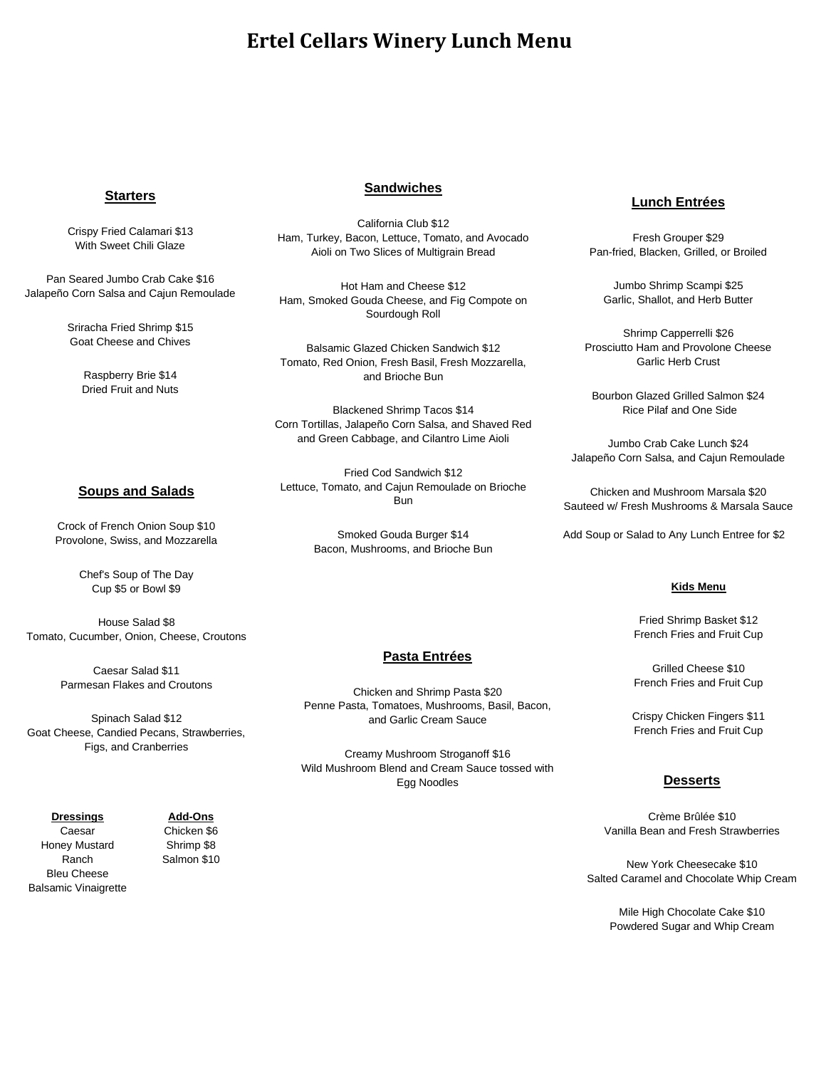# **Ertel Cellars Winery Lunch Menu**

### **Starters**

Crispy Fried Calamari \$13 With Sweet Chili Glaze

Pan Seared Jumbo Crab Cake \$16 Jalapeño Corn Salsa and Cajun Remoulade

> Sriracha Fried Shrimp \$15 Goat Cheese and Chives

> > Raspberry Brie \$14 Dried Fruit and Nuts

### **Sandwiches**

California Club \$12 Ham, Turkey, Bacon, Lettuce, Tomato, and Avocado Aioli on Two Slices of Multigrain Bread

Hot Ham and Cheese \$12 Ham, Smoked Gouda Cheese, and Fig Compote on Sourdough Roll

Balsamic Glazed Chicken Sandwich \$12 Tomato, Red Onion, Fresh Basil, Fresh Mozzarella, and Brioche Bun

**Desserts** Corn Tortillas, Jalapeño Corn Salsa, and Shaved Red Blackened Shrimp Tacos \$14 and Green Cabbage, and Cilantro Lime Aioli

Fried Cod Sandwich \$12 Lettuce, Tomato, and Cajun Remoulade on Brioche<br>
<sub>Rup</sub> Salted Caramel and Chocolate White Whip Creamel and Chocolate Whip Creamel and Chocolate Whip Creamel and Chocolate Whip Creamel and Chocolate Whip Creamel and Chocolate Whip Creamel and Chocolate Whip Creamel and Chocolat Bun

> Smoked Gouda Burger \$14 Bacon, Mushrooms, and Brioche Bun

### **Pasta Entrées**

Chicken and Shrimp Pasta \$20 Penne Pasta, Tomatoes, Mushrooms, Basil, Bacon, and Garlic Cream Sauce

Creamy Mushroom Stroganoff \$16 Wild Mushroom Blend and Cream Sauce tossed with Egg Noodles **Desserts**

### **Lunch Entrées**

Fresh Grouper \$29 Pan-fried, Blacken, Grilled, or Broiled

Jumbo Shrimp Scampi \$25 Garlic, Shallot, and Herb Butter

Shrimp Capperrelli \$26 Prosciutto Ham and Provolone Cheese Garlic Herb Crust

Bourbon Glazed Grilled Salmon \$24 Rice Pilaf and One Side

Jumbo Crab Cake Lunch \$24 Jalapeño Corn Salsa, and Cajun Remoulade

Chicken and Mushroom Marsala \$20 Sauteed w/ Fresh Mushrooms & Marsala Sauce

Add Soup or Salad to Any Lunch Entree for \$2

#### **Kids Menu**

Fried Shrimp Basket \$12 French Fries and Fruit Cup

Grilled Cheese \$10 French Fries and Fruit Cup

Crispy Chicken Fingers \$11 French Fries and Fruit Cup

Crème Brûlée \$10 Vanilla Bean and Fresh Strawberries

New York Cheesecake \$10 Salted Caramel and Chocolate Whip Cream

Mile High Chocolate Cake \$10 Powdered Sugar and Whip Cream

#### **Soups and Salads**

Crock of French Onion Soup \$10 Provolone, Swiss, and Mozzarella

> Chef's Soup of The Day Cup \$5 or Bowl \$9

House Salad \$8 Tomato, Cucumber, Onion, Cheese, Croutons

> Caesar Salad \$11 Parmesan Flakes and Croutons

Spinach Salad \$12 Goat Cheese, Candied Pecans, Strawberries, Figs, and Cranberries

### **Dressings**

Caesar Honey Mustard Ranch Bleu Cheese Balsamic Vinaigrette

**Add-Ons** Chicken \$6

Shrimp \$8 Salmon \$10